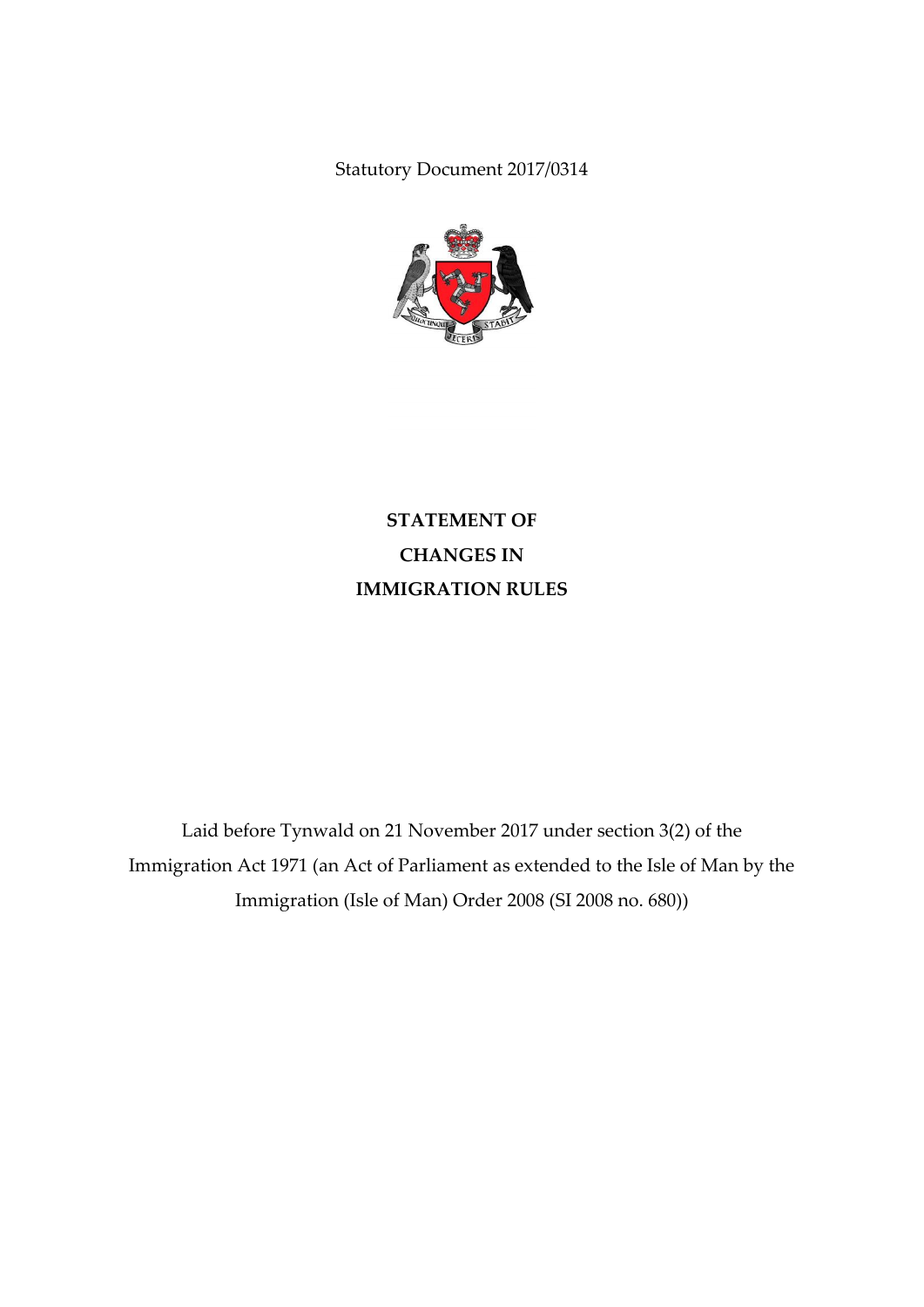Statutory Document 2017/0314



**STATEMENT OF CHANGES IN IMMIGRATION RULES**

Laid before Tynwald on 21 November 2017 under section 3(2) of the Immigration Act 1971 (an Act of Parliament as extended to the Isle of Man by the Immigration (Isle of Man) Order 2008 (SI 2008 no. 680))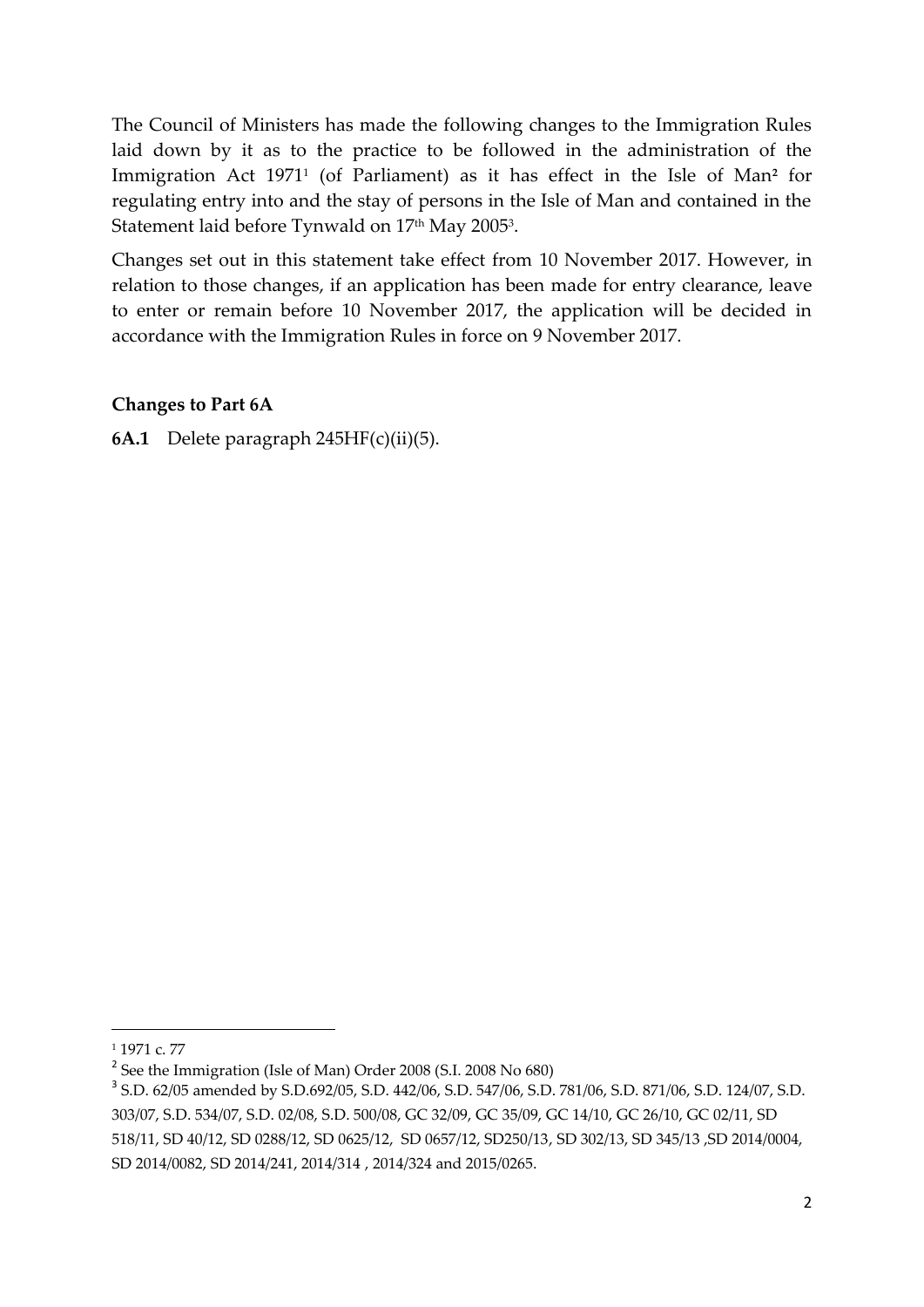The Council of Ministers has made the following changes to the Immigration Rules laid down by it as to the practice to be followed in the administration of the Immigration Act 1971<sup>1</sup> (of Parliament) as it has effect in the Isle of Man<sup>2</sup> for regulating entry into and the stay of persons in the Isle of Man and contained in the Statement laid before Tynwald on  $17^{\rm th}$  May 2005 $^{\rm 3}$ .

Changes set out in this statement take effect from 10 November 2017. However, in relation to those changes, if an application has been made for entry clearance, leave to enter or remain before 10 November 2017, the application will be decided in accordance with the Immigration Rules in force on 9 November 2017.

## **Changes to Part 6A**

**6A.1** Delete paragraph 245HF(c)(ii)(5).

1

<sup>1</sup> 1971 c. 77

<sup>&</sup>lt;sup>2</sup> See the Immigration (Isle of Man) Order 2008 (S.I. 2008 No 680)

<sup>3</sup> S.D. 62/05 amended by S.D.692/05, S.D. 442/06, S.D. 547/06, S.D. 781/06, S.D. 871/06, S.D. 124/07, S.D. 303/07, S.D. 534/07, S.D. 02/08, S.D. 500/08, GC 32/09, GC 35/09, GC 14/10, GC 26/10, GC 02/11, SD 518/11, SD 40/12, SD 0288/12, SD 0625/12, SD 0657/12, SD250/13, SD 302/13, SD 345/13 ,SD 2014/0004, SD 2014/0082, SD 2014/241, 2014/314 , 2014/324 and 2015/0265.